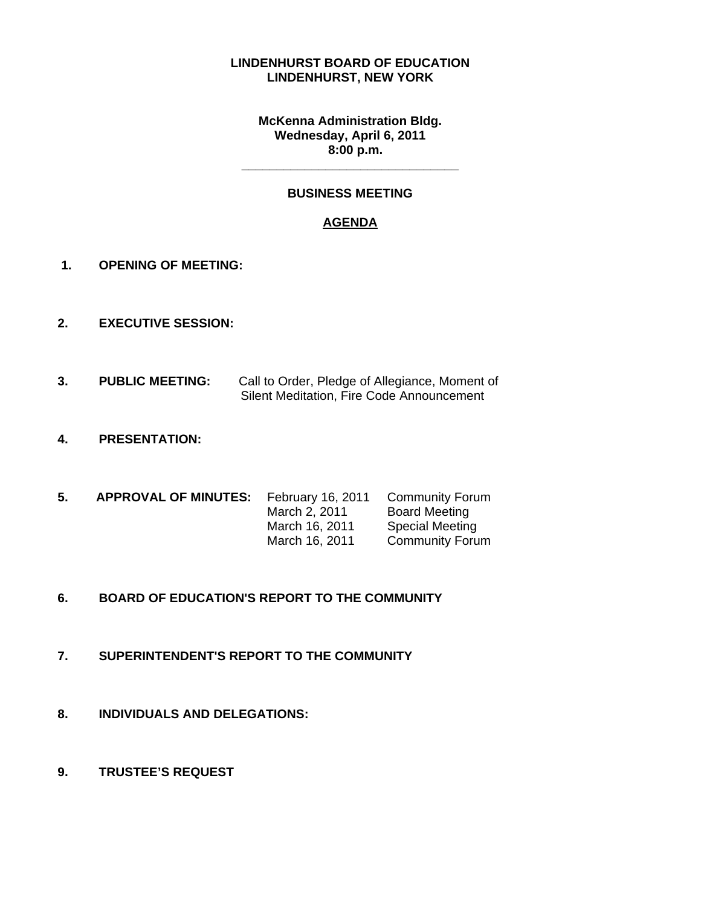#### **LINDENHURST BOARD OF EDUCATION LINDENHURST, NEW YORK**

#### **McKenna Administration Bldg. Wednesday, April 6, 2011 8:00 p.m.**

## **BUSINESS MEETING**

**\_\_\_\_\_\_\_\_\_\_\_\_\_\_\_\_\_\_\_\_\_\_\_\_\_\_\_\_\_\_\_** 

## **AGENDA**

- **1. OPENING OF MEETING:**
- **2. EXECUTIVE SESSION:**
- **3. PUBLIC MEETING:** Call to Order, Pledge of Allegiance, Moment of Silent Meditation, Fire Code Announcement
- **4. PRESENTATION:**
- **5. APPROVAL OF MINUTES:** February 16, 2011 Community Forum March 2, 2011 Board Meeting March 16, 2011 Special Meeting March 16, 2011 Community Forum
- **6. BOARD OF EDUCATION'S REPORT TO THE COMMUNITY**
- **7. SUPERINTENDENT'S REPORT TO THE COMMUNITY**
- **8. INDIVIDUALS AND DELEGATIONS:**
- **9. TRUSTEE'S REQUEST**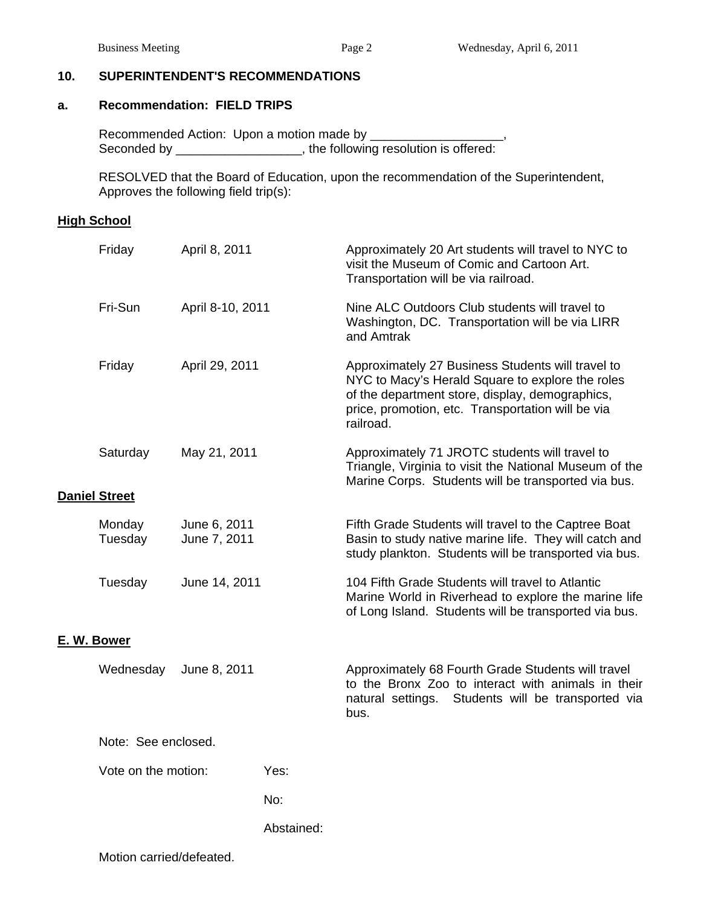### **10. SUPERINTENDENT'S RECOMMENDATIONS**

#### **a. Recommendation: FIELD TRIPS**

 Recommended Action: Upon a motion made by \_\_\_\_\_\_\_\_\_\_\_\_\_\_\_\_\_\_\_, Seconded by \_\_\_\_\_\_\_\_\_\_\_\_\_\_\_\_\_, the following resolution is offered:

 RESOLVED that the Board of Education, upon the recommendation of the Superintendent, Approves the following field trip(s):

#### **High School**

|             | Friday                    | April 8, 2011                |            | Approximately 20 Art students will travel to NYC to<br>visit the Museum of Comic and Cartoon Art.<br>Transportation will be via railroad.                                                                                  |  |  |  |
|-------------|---------------------------|------------------------------|------------|----------------------------------------------------------------------------------------------------------------------------------------------------------------------------------------------------------------------------|--|--|--|
|             | Fri-Sun                   | April 8-10, 2011             |            | Nine ALC Outdoors Club students will travel to<br>Washington, DC. Transportation will be via LIRR<br>and Amtrak                                                                                                            |  |  |  |
|             | Friday                    | April 29, 2011               |            | Approximately 27 Business Students will travel to<br>NYC to Macy's Herald Square to explore the roles<br>of the department store, display, demographics,<br>price, promotion, etc. Transportation will be via<br>railroad. |  |  |  |
|             | Saturday                  | May 21, 2011                 |            | Approximately 71 JROTC students will travel to<br>Triangle, Virginia to visit the National Museum of the<br>Marine Corps. Students will be transported via bus.                                                            |  |  |  |
|             | <b>Daniel Street</b>      |                              |            |                                                                                                                                                                                                                            |  |  |  |
|             | Monday<br>Tuesday         | June 6, 2011<br>June 7, 2011 |            | Fifth Grade Students will travel to the Captree Boat<br>Basin to study native marine life. They will catch and<br>study plankton. Students will be transported via bus.                                                    |  |  |  |
|             | Tuesday                   | June 14, 2011                |            | 104 Fifth Grade Students will travel to Atlantic<br>Marine World in Riverhead to explore the marine life<br>of Long Island. Students will be transported via bus.                                                          |  |  |  |
| E. W. Bower |                           |                              |            |                                                                                                                                                                                                                            |  |  |  |
|             | Wednesday<br>June 8, 2011 |                              |            | Approximately 68 Fourth Grade Students will travel<br>to the Bronx Zoo to interact with animals in their<br>natural settings. Students will be transported via<br>bus.                                                     |  |  |  |
|             | Note: See enclosed.       |                              |            |                                                                                                                                                                                                                            |  |  |  |
|             | Vote on the motion:       |                              | Yes:       |                                                                                                                                                                                                                            |  |  |  |
|             |                           |                              | No:        |                                                                                                                                                                                                                            |  |  |  |
|             |                           |                              | Abstained: |                                                                                                                                                                                                                            |  |  |  |
|             |                           |                              |            |                                                                                                                                                                                                                            |  |  |  |

Motion carried/defeated.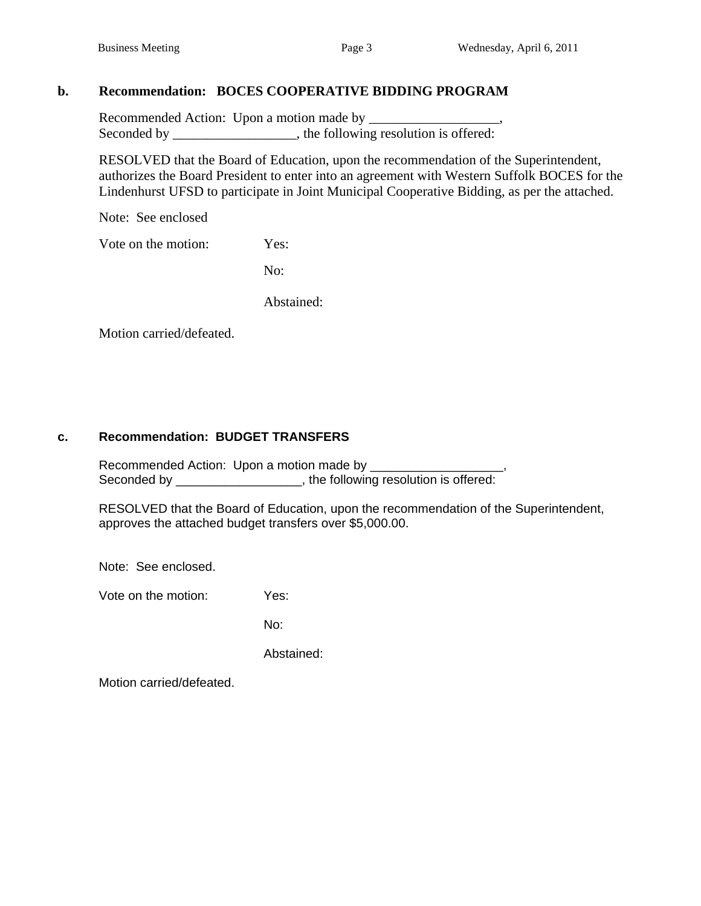# **b. Recommendation: BOCES COOPERATIVE BIDDING PROGRAM**

 Recommended Action: Upon a motion made by \_\_\_\_\_\_\_\_\_\_\_\_\_\_\_\_\_\_\_, Seconded by the following resolution is offered:

RESOLVED that the Board of Education, upon the recommendation of the Superintendent, authorizes the Board President to enter into an agreement with Western Suffolk BOCES for the Lindenhurst UFSD to participate in Joint Municipal Cooperative Bidding, as per the attached.

Note: See enclosed

Vote on the motion: Yes:

No:

Abstained:

Motion carried/defeated.

## **c. Recommendation: BUDGET TRANSFERS**

 Recommended Action: Upon a motion made by \_\_\_\_\_\_\_\_\_\_\_\_\_\_\_\_\_\_\_, Seconded by \_\_\_\_\_\_\_\_\_\_\_\_\_\_\_\_\_\_, the following resolution is offered:

 RESOLVED that the Board of Education, upon the recommendation of the Superintendent, approves the attached budget transfers over \$5,000.00.

Note: See enclosed.

Vote on the motion: Yes:

No:

Abstained:

Motion carried/defeated.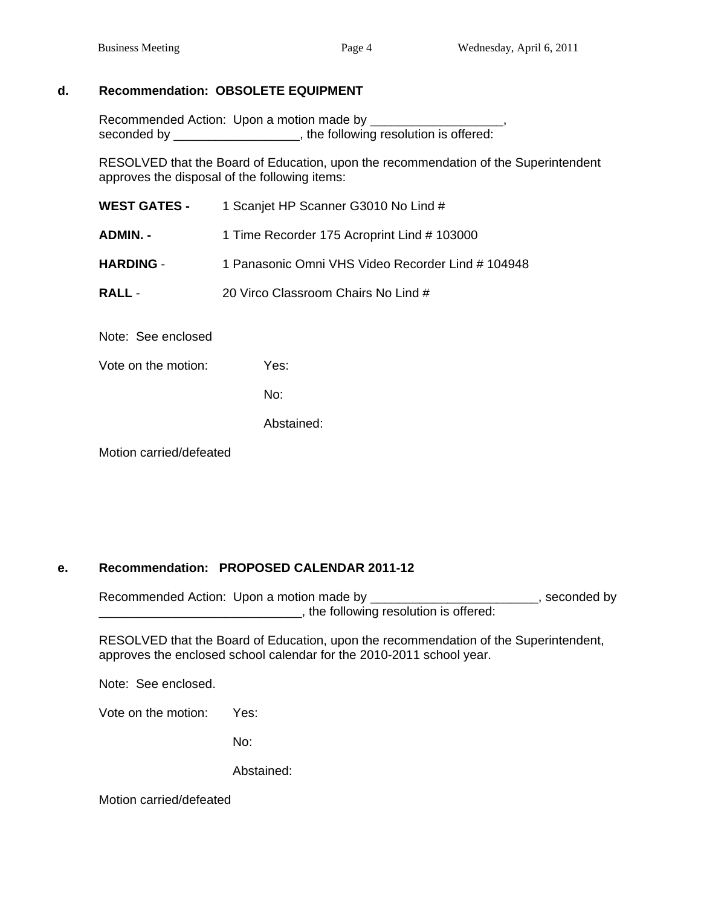#### **d. Recommendation: OBSOLETE EQUIPMENT**

Recommended Action: Upon a motion made by \_\_\_\_\_\_\_\_\_\_\_\_\_\_\_\_\_\_\_, seconded by \_\_\_\_\_\_\_\_\_\_\_\_\_\_\_\_\_\_\_, the following resolution is offered:

 RESOLVED that the Board of Education, upon the recommendation of the Superintendent approves the disposal of the following items:

| <b>WEST GATES -</b> | 1 Scanjet HP Scanner G3010 No Lind #              |
|---------------------|---------------------------------------------------|
| ADMIN. -            | 1 Time Recorder 175 Acroprint Lind # 103000       |
| <b>HARDING -</b>    | 1 Panasonic Omni VHS Video Recorder Lind # 104948 |
| <b>RALL -</b>       | 20 Virco Classroom Chairs No Lind #               |
|                     |                                                   |

Note: See enclosed

Vote on the motion: Yes:

No:

Abstained:

Motion carried/defeated

## **e. Recommendation: PROPOSED CALENDAR 2011-12**

Recommended Action: Upon a motion made by \_\_\_\_\_\_\_\_\_\_\_\_\_\_\_\_\_\_\_\_\_\_\_\_\_\_\_, seconded by **\_\_\_\_\_\_\_\_\_\_\_\_\_\_\_\_\_\_\_\_\_\_\_\_\_\_**, the following resolution is offered:

RESOLVED that the Board of Education, upon the recommendation of the Superintendent, approves the enclosed school calendar for the 2010-2011 school year.

Note: See enclosed.

Vote on the motion: Yes:

No:

Abstained:

Motion carried/defeated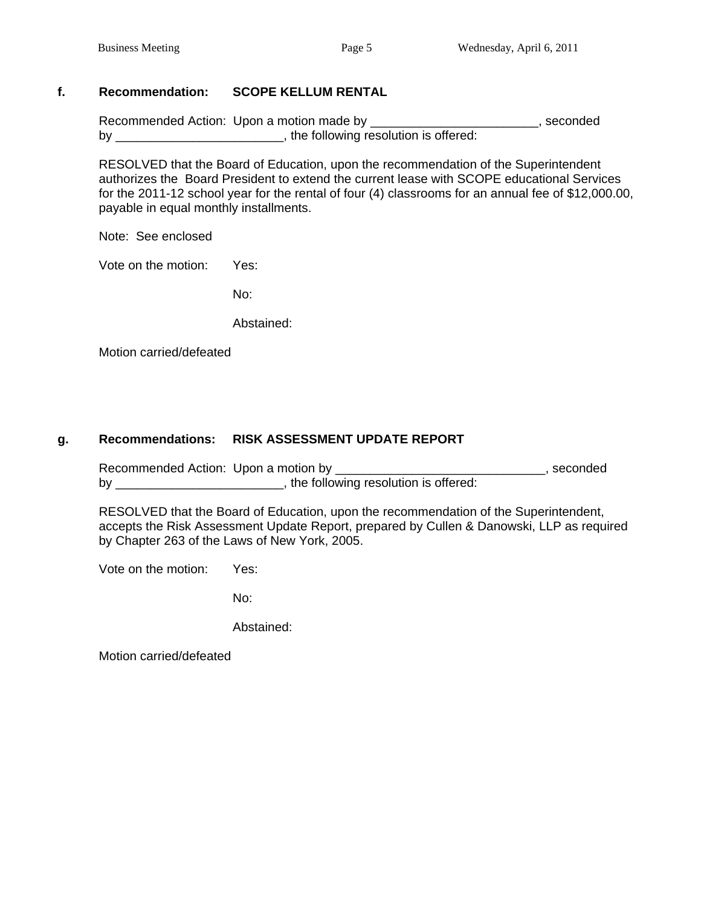## **f. Recommendation: SCOPE KELLUM RENTAL**

Recommended Action: Upon a motion made by \_\_\_\_\_\_\_\_\_\_\_\_\_\_\_\_\_\_\_\_\_\_\_\_\_\_\_\_, seconded by \_\_\_\_\_\_\_\_\_\_\_\_\_\_\_\_\_\_\_\_\_\_\_\_, the following resolution is offered:

 RESOLVED that the Board of Education, upon the recommendation of the Superintendent authorizes the Board President to extend the current lease with SCOPE educational Services for the 2011-12 school year for the rental of four (4) classrooms for an annual fee of \$12,000.00, payable in equal monthly installments.

Note: See enclosed

Vote on the motion: Yes:

no: a contracto de la provincia de la provincia de la provincia de la provincia de la provincia de la provinci

Abstained:

Motion carried/defeated

## **g. Recommendations: RISK ASSESSMENT UPDATE REPORT**

Recommended Action: Upon a motion by \_\_\_\_\_\_\_\_\_\_\_\_\_\_\_\_\_\_\_\_\_\_\_\_\_\_\_\_\_\_, seconded by \_\_\_\_\_\_\_\_\_\_\_\_\_\_\_\_\_\_\_\_\_\_\_\_\_\_\_\_, the following resolution is offered:

 RESOLVED that the Board of Education, upon the recommendation of the Superintendent, accepts the Risk Assessment Update Report, prepared by Cullen & Danowski, LLP as required by Chapter 263 of the Laws of New York, 2005.

Vote on the motion: Yes:

no: a contracto de la provincia de la provincia de la provincia de la provincia de la provincia de la provinci

Abstained:

Motion carried/defeated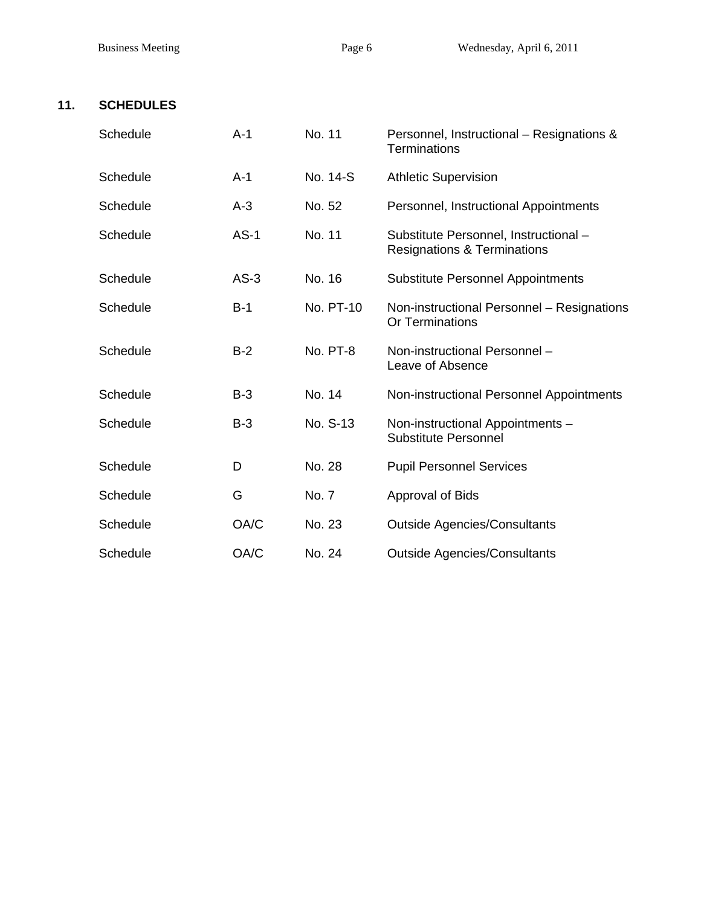# **11. SCHEDULES**

| Schedule | $A-1$  | No. 11    | Personnel, Instructional - Resignations &<br><b>Terminations</b>                |
|----------|--------|-----------|---------------------------------------------------------------------------------|
| Schedule | $A-1$  | No. 14-S  | <b>Athletic Supervision</b>                                                     |
| Schedule | $A-3$  | No. 52    | Personnel, Instructional Appointments                                           |
| Schedule | $AS-1$ | No. 11    | Substitute Personnel, Instructional -<br><b>Resignations &amp; Terminations</b> |
| Schedule | $AS-3$ | No. 16    | <b>Substitute Personnel Appointments</b>                                        |
| Schedule | $B-1$  | No. PT-10 | Non-instructional Personnel - Resignations<br>Or Terminations                   |
| Schedule | $B-2$  | No. PT-8  | Non-instructional Personnel -<br>Leave of Absence                               |
| Schedule | $B-3$  | No. 14    | Non-instructional Personnel Appointments                                        |
| Schedule | $B-3$  | No. S-13  | Non-instructional Appointments -<br><b>Substitute Personnel</b>                 |
| Schedule | D      | No. 28    | <b>Pupil Personnel Services</b>                                                 |
| Schedule | G      | No. 7     | <b>Approval of Bids</b>                                                         |
| Schedule | OA/C   | No. 23    | <b>Outside Agencies/Consultants</b>                                             |
| Schedule | OA/C   | No. 24    | <b>Outside Agencies/Consultants</b>                                             |